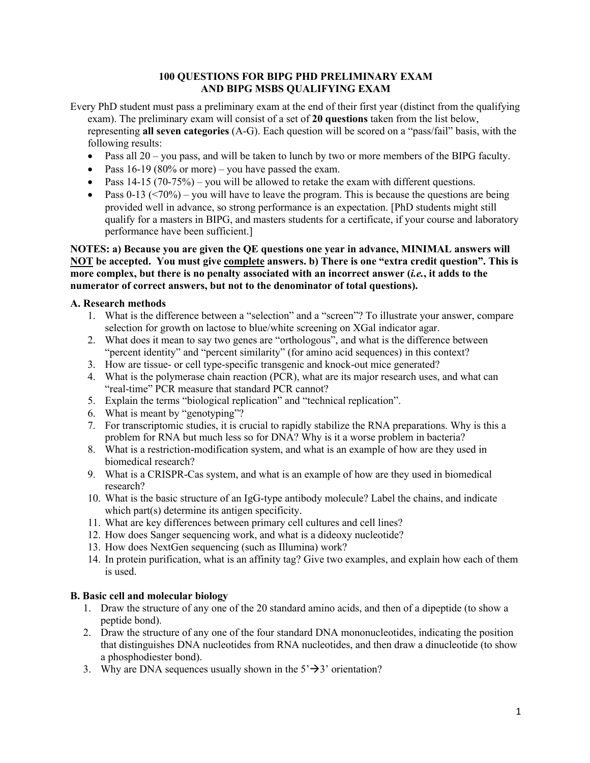# **100 QUESTIONS FOR BIPG PHD PRELIMINARY EXAM AND BIPG MSBS QUALIFYING EXAM**

Every PhD student must pass a preliminary exam at the end of their first year (distinct from the qualifying exam). The preliminary exam will consist of a set of **20 questions** taken from the list below, representing **all seven categories** (A-G). Each question will be scored on a "pass/fail" basis, with the following results:

- Pass all  $20 -$ you pass, and will be taken to lunch by two or more members of the BIPG faculty.
- Pass  $16-19$  (80% or more) you have passed the exam.
- Pass  $14-15$  (70-75%) you will be allowed to retake the exam with different questions.
- Pass 0-13 ( $\leq$ 70%) you will have to leave the program. This is because the questions are being provided well in advance, so strong performance is an expectation. [PhD students might still qualify for a masters in BIPG, and masters students for a certificate, if your course and laboratory performance have been sufficient.]

### **NOTES: a) Because you are given the QE questions one year in advance, MINIMAL answers will NOT be accepted. You must give complete answers. b) There is one "extra credit question". This is more complex, but there is no penalty associated with an incorrect answer (***i.e.***, it adds to the numerator of correct answers, but not to the denominator of total questions).**

### **A. Research methods**

- 1. What is the difference between a "selection" and a "screen"? To illustrate your answer, compare selection for growth on lactose to blue/white screening on XGal indicator agar.
- 2. What does it mean to say two genes are "orthologous", and what is the difference between "percent identity" and "percent similarity" (for amino acid sequences) in this context?
- 3. How are tissue- or cell type-specific transgenic and knock-out mice generated?
- 4. What is the polymerase chain reaction (PCR), what are its major research uses, and what can "real-time" PCR measure that standard PCR cannot?
- 5. Explain the terms "biological replication" and "technical replication".
- 6. What is meant by "genotyping"?
- 7. For transcriptomic studies, it is crucial to rapidly stabilize the RNA preparations. Why is this a problem for RNA but much less so for DNA? Why is it a worse problem in bacteria?
- 8. What is a restriction-modification system, and what is an example of how are they used in biomedical research?
- 9. What is a CRISPR-Cas system, and what is an example of how are they used in biomedical research?
- 10. What is the basic structure of an IgG-type antibody molecule? Label the chains, and indicate which part(s) determine its antigen specificity.
- 11. What are key differences between primary cell cultures and cell lines?
- 12. How does Sanger sequencing work, and what is a dideoxy nucleotide?
- 13. How does NextGen sequencing (such as Illumina) work?
- 14. In protein purification, what is an affinity tag? Give two examples, and explain how each of them is used.

# **B. Basic cell and molecular biology**

- 1. Draw the structure of any one of the 20 standard amino acids, and then of a dipeptide (to show a peptide bond).
- 2. Draw the structure of any one of the four standard DNA mononucleotides, indicating the position that distinguishes DNA nucleotides from RNA nucleotides, and then draw a dinucleotide (to show a phosphodiester bond).
- 3. Why are DNA sequences usually shown in the  $5' \rightarrow 3'$  orientation?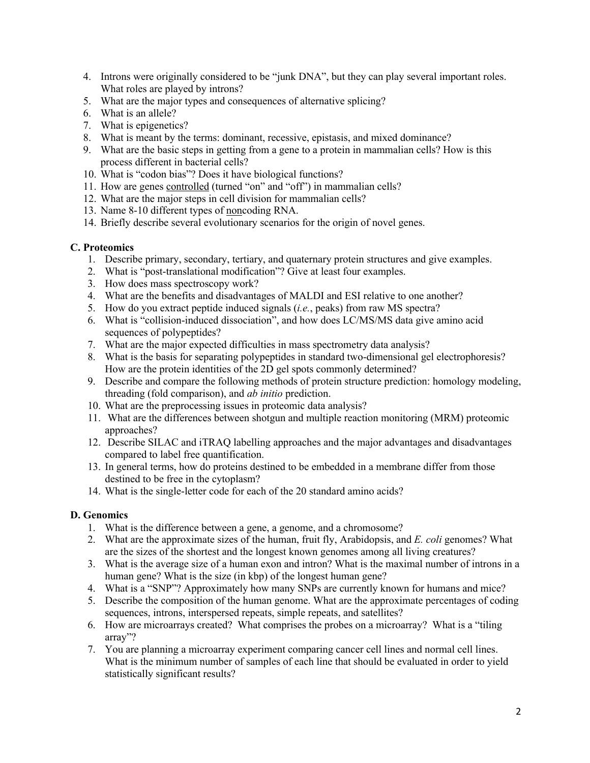- 4. Introns were originally considered to be "junk DNA", but they can play several important roles. What roles are played by introns?
- 5. What are the major types and consequences of alternative splicing?
- 6. What is an allele?
- 7. What is epigenetics?
- 8. What is meant by the terms: dominant, recessive, epistasis, and mixed dominance?
- 9. What are the basic steps in getting from a gene to a protein in mammalian cells? How is this process different in bacterial cells?
- 10. What is "codon bias"? Does it have biological functions?
- 11. How are genes controlled (turned "on" and "off") in mammalian cells?
- 12. What are the major steps in cell division for mammalian cells?
- 13. Name 8-10 different types of noncoding RNA.
- 14. Briefly describe several evolutionary scenarios for the origin of novel genes.

## **C. Proteomics**

- 1. Describe primary, secondary, tertiary, and quaternary protein structures and give examples.
- 2. What is "post-translational modification"? Give at least four examples.
- 3. How does mass spectroscopy work?
- 4. What are the benefits and disadvantages of MALDI and ESI relative to one another?
- 5. How do you extract peptide induced signals (*i.e.*, peaks) from raw MS spectra?
- 6. What is "collision-induced dissociation", and how does LC/MS/MS data give amino acid sequences of polypeptides?
- 7. What are the major expected difficulties in mass spectrometry data analysis?
- 8. What is the basis for separating polypeptides in standard two-dimensional gel electrophoresis? How are the protein identities of the 2D gel spots commonly determined?
- 9. Describe and compare the following methods of protein structure prediction: homology modeling, threading (fold comparison), and *ab initio* prediction.
- 10. What are the preprocessing issues in proteomic data analysis?
- 11. What are the differences between shotgun and multiple reaction monitoring (MRM) proteomic approaches?
- 12. Describe SILAC and iTRAQ labelling approaches and the major advantages and disadvantages compared to label free quantification.
- 13. In general terms, how do proteins destined to be embedded in a membrane differ from those destined to be free in the cytoplasm?
- 14. What is the single-letter code for each of the 20 standard amino acids?

# **D. Genomics**

- 1. What is the difference between a gene, a genome, and a chromosome?
- 2. What are the approximate sizes of the human, fruit fly, Arabidopsis, and *E. coli* genomes? What are the sizes of the shortest and the longest known genomes among all living creatures?
- 3. What is the average size of a human exon and intron? What is the maximal number of introns in a human gene? What is the size (in kbp) of the longest human gene?
- 4. What is a "SNP"? Approximately how many SNPs are currently known for humans and mice?
- 5. Describe the composition of the human genome. What are the approximate percentages of coding sequences, introns, interspersed repeats, simple repeats, and satellites?
- 6. How are microarrays created? What comprises the probes on a microarray? What is a "tiling array"?
- 7. You are planning a microarray experiment comparing cancer cell lines and normal cell lines. What is the minimum number of samples of each line that should be evaluated in order to yield statistically significant results?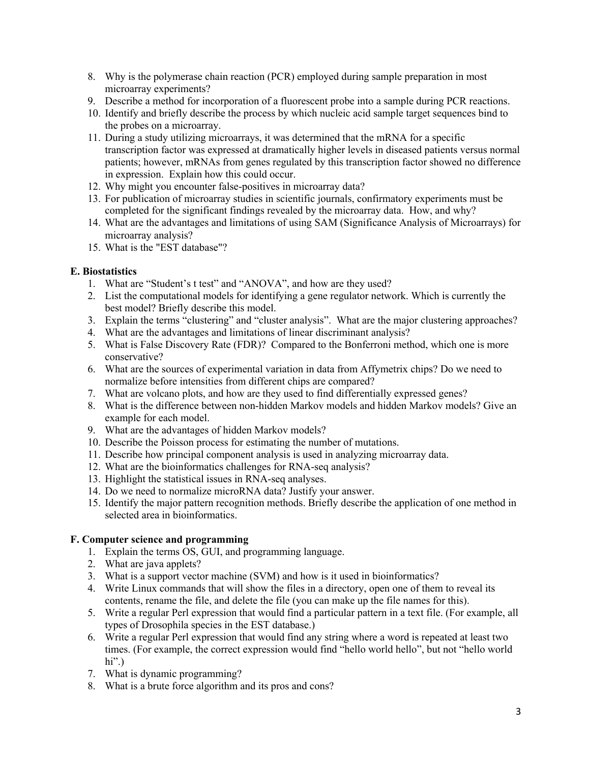- 8. Why is the polymerase chain reaction (PCR) employed during sample preparation in most microarray experiments?
- 9. Describe a method for incorporation of a fluorescent probe into a sample during PCR reactions.
- 10. Identify and briefly describe the process by which nucleic acid sample target sequences bind to the probes on a microarray.
- 11. During a study utilizing microarrays, it was determined that the mRNA for a specific transcription factor was expressed at dramatically higher levels in diseased patients versus normal patients; however, mRNAs from genes regulated by this transcription factor showed no difference in expression. Explain how this could occur.
- 12. Why might you encounter false-positives in microarray data?
- 13. For publication of microarray studies in scientific journals, confirmatory experiments must be completed for the significant findings revealed by the microarray data. How, and why?
- 14. What are the advantages and limitations of using SAM (Significance Analysis of Microarrays) for microarray analysis?
- 15. What is the "EST database"?

## **E. Biostatistics**

- 1. What are "Student's t test" and "ANOVA", and how are they used?
- 2. List the computational models for identifying a gene regulator network. Which is currently the best model? Briefly describe this model.
- 3. Explain the terms "clustering" and "cluster analysis". What are the major clustering approaches?
- 4. What are the advantages and limitations of linear discriminant analysis?
- 5. What is False Discovery Rate (FDR)? Compared to the Bonferroni method, which one is more conservative?
- 6. What are the sources of experimental variation in data from Affymetrix chips? Do we need to normalize before intensities from different chips are compared?
- 7. What are volcano plots, and how are they used to find differentially expressed genes?
- 8. What is the difference between non-hidden Markov models and hidden Markov models? Give an example for each model.
- 9. What are the advantages of hidden Markov models?
- 10. Describe the Poisson process for estimating the number of mutations.
- 11. Describe how principal component analysis is used in analyzing microarray data.
- 12. What are the bioinformatics challenges for RNA-seq analysis?
- 13. Highlight the statistical issues in RNA-seq analyses.
- 14. Do we need to normalize microRNA data? Justify your answer.
- 15. Identify the major pattern recognition methods. Briefly describe the application of one method in selected area in bioinformatics.

# **F. Computer science and programming**

- 1. Explain the terms OS, GUI, and programming language.
- 2. What are java applets?
- 3. What is a support vector machine (SVM) and how is it used in bioinformatics?
- 4. Write Linux commands that will show the files in a directory, open one of them to reveal its contents, rename the file, and delete the file (you can make up the file names for this).
- 5. Write a regular Perl expression that would find a particular pattern in a text file. (For example, all types of Drosophila species in the EST database.)
- 6. Write a regular Perl expression that would find any string where a word is repeated at least two times. (For example, the correct expression would find "hello world hello", but not "hello world hi". $)$
- 7. What is dynamic programming?
- 8. What is a brute force algorithm and its pros and cons?